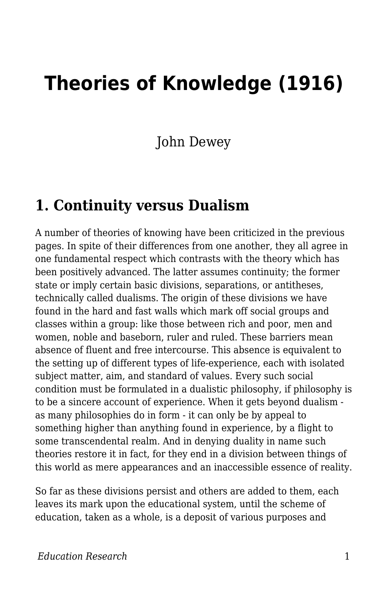## **Theories of Knowledge (1916)**

John Dewey

## **1. Continuity versus Dualism**

A number of theories of knowing have been criticized in the previous pages. In spite of their differences from one another, they all agree in one fundamental respect which contrasts with the theory which has been positively advanced. The latter assumes continuity; the former state or imply certain basic divisions, separations, or antitheses, technically called dualisms. The origin of these divisions we have found in the hard and fast walls which mark off social groups and classes within a group: like those between rich and poor, men and women, noble and baseborn, ruler and ruled. These barriers mean absence of fluent and free intercourse. This absence is equivalent to the setting up of different types of life-experience, each with isolated subject matter, aim, and standard of values. Every such social condition must be formulated in a dualistic philosophy, if philosophy is to be a sincere account of experience. When it gets beyond dualism as many philosophies do in form - it can only be by appeal to something higher than anything found in experience, by a flight to some transcendental realm. And in denying duality in name such theories restore it in fact, for they end in a division between things of this world as mere appearances and an inaccessible essence of reality.

So far as these divisions persist and others are added to them, each leaves its mark upon the educational system, until the scheme of education, taken as a whole, is a deposit of various purposes and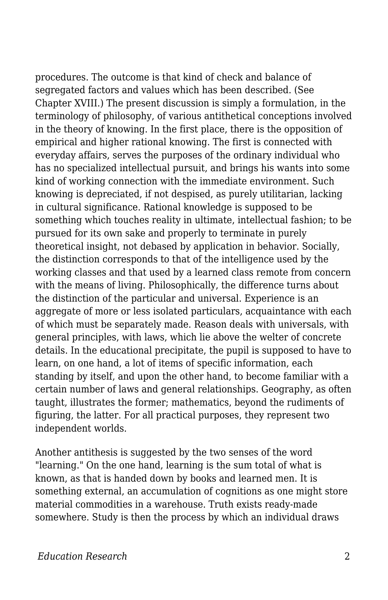procedures. The outcome is that kind of check and balance of segregated factors and values which has been described. (See Chapter XVIII.) The present discussion is simply a formulation, in the terminology of philosophy, of various antithetical conceptions involved in the theory of knowing. In the first place, there is the opposition of empirical and higher rational knowing. The first is connected with everyday affairs, serves the purposes of the ordinary individual who has no specialized intellectual pursuit, and brings his wants into some kind of working connection with the immediate environment. Such knowing is depreciated, if not despised, as purely utilitarian, lacking in cultural significance. Rational knowledge is supposed to be something which touches reality in ultimate, intellectual fashion; to be pursued for its own sake and properly to terminate in purely theoretical insight, not debased by application in behavior. Socially, the distinction corresponds to that of the intelligence used by the working classes and that used by a learned class remote from concern with the means of living. Philosophically, the difference turns about the distinction of the particular and universal. Experience is an aggregate of more or less isolated particulars, acquaintance with each of which must be separately made. Reason deals with universals, with general principles, with laws, which lie above the welter of concrete details. In the educational precipitate, the pupil is supposed to have to learn, on one hand, a lot of items of specific information, each standing by itself, and upon the other hand, to become familiar with a certain number of laws and general relationships. Geography, as often taught, illustrates the former; mathematics, beyond the rudiments of figuring, the latter. For all practical purposes, they represent two independent worlds.

Another antithesis is suggested by the two senses of the word "learning." On the one hand, learning is the sum total of what is known, as that is handed down by books and learned men. It is something external, an accumulation of cognitions as one might store material commodities in a warehouse. Truth exists ready-made somewhere. Study is then the process by which an individual draws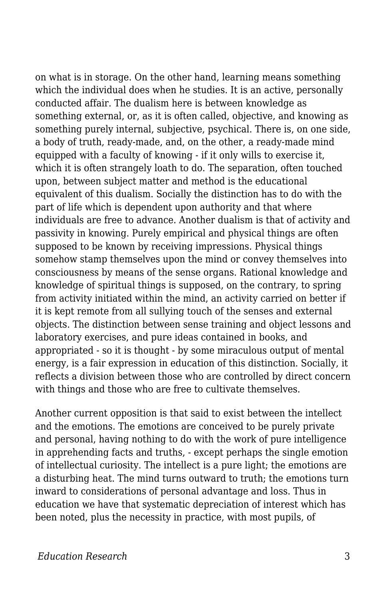on what is in storage. On the other hand, learning means something which the individual does when he studies. It is an active, personally conducted affair. The dualism here is between knowledge as something external, or, as it is often called, objective, and knowing as something purely internal, subjective, psychical. There is, on one side, a body of truth, ready-made, and, on the other, a ready-made mind equipped with a faculty of knowing - if it only wills to exercise it, which it is often strangely loath to do. The separation, often touched upon, between subject matter and method is the educational equivalent of this dualism. Socially the distinction has to do with the part of life which is dependent upon authority and that where individuals are free to advance. Another dualism is that of activity and passivity in knowing. Purely empirical and physical things are often supposed to be known by receiving impressions. Physical things somehow stamp themselves upon the mind or convey themselves into consciousness by means of the sense organs. Rational knowledge and knowledge of spiritual things is supposed, on the contrary, to spring from activity initiated within the mind, an activity carried on better if it is kept remote from all sullying touch of the senses and external objects. The distinction between sense training and object lessons and laboratory exercises, and pure ideas contained in books, and appropriated - so it is thought - by some miraculous output of mental energy, is a fair expression in education of this distinction. Socially, it reflects a division between those who are controlled by direct concern with things and those who are free to cultivate themselves.

Another current opposition is that said to exist between the intellect and the emotions. The emotions are conceived to be purely private and personal, having nothing to do with the work of pure intelligence in apprehending facts and truths, - except perhaps the single emotion of intellectual curiosity. The intellect is a pure light; the emotions are a disturbing heat. The mind turns outward to truth; the emotions turn inward to considerations of personal advantage and loss. Thus in education we have that systematic depreciation of interest which has been noted, plus the necessity in practice, with most pupils, of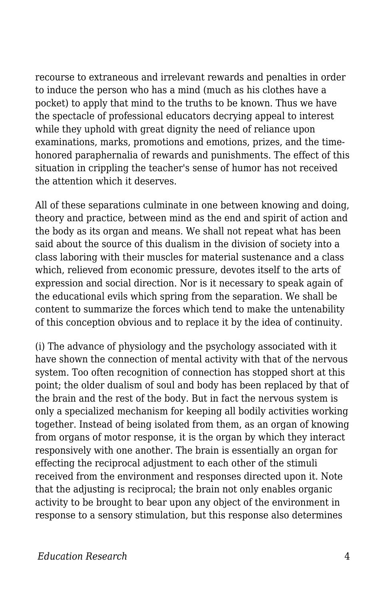recourse to extraneous and irrelevant rewards and penalties in order to induce the person who has a mind (much as his clothes have a pocket) to apply that mind to the truths to be known. Thus we have the spectacle of professional educators decrying appeal to interest while they uphold with great dignity the need of reliance upon examinations, marks, promotions and emotions, prizes, and the timehonored paraphernalia of rewards and punishments. The effect of this situation in crippling the teacher's sense of humor has not received the attention which it deserves.

All of these separations culminate in one between knowing and doing, theory and practice, between mind as the end and spirit of action and the body as its organ and means. We shall not repeat what has been said about the source of this dualism in the division of society into a class laboring with their muscles for material sustenance and a class which, relieved from economic pressure, devotes itself to the arts of expression and social direction. Nor is it necessary to speak again of the educational evils which spring from the separation. We shall be content to summarize the forces which tend to make the untenability of this conception obvious and to replace it by the idea of continuity.

(i) The advance of physiology and the psychology associated with it have shown the connection of mental activity with that of the nervous system. Too often recognition of connection has stopped short at this point; the older dualism of soul and body has been replaced by that of the brain and the rest of the body. But in fact the nervous system is only a specialized mechanism for keeping all bodily activities working together. Instead of being isolated from them, as an organ of knowing from organs of motor response, it is the organ by which they interact responsively with one another. The brain is essentially an organ for effecting the reciprocal adjustment to each other of the stimuli received from the environment and responses directed upon it. Note that the adjusting is reciprocal; the brain not only enables organic activity to be brought to bear upon any object of the environment in response to a sensory stimulation, but this response also determines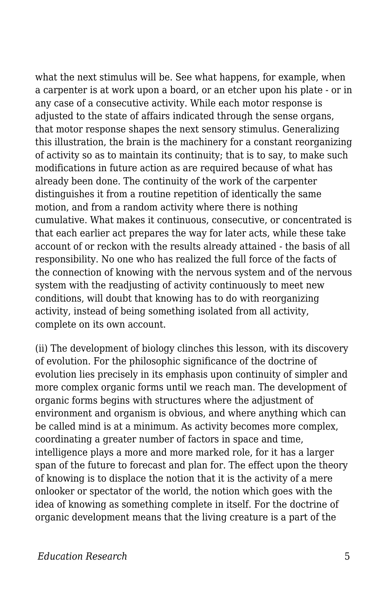what the next stimulus will be. See what happens, for example, when a carpenter is at work upon a board, or an etcher upon his plate - or in any case of a consecutive activity. While each motor response is adjusted to the state of affairs indicated through the sense organs, that motor response shapes the next sensory stimulus. Generalizing this illustration, the brain is the machinery for a constant reorganizing of activity so as to maintain its continuity; that is to say, to make such modifications in future action as are required because of what has already been done. The continuity of the work of the carpenter distinguishes it from a routine repetition of identically the same motion, and from a random activity where there is nothing cumulative. What makes it continuous, consecutive, or concentrated is that each earlier act prepares the way for later acts, while these take account of or reckon with the results already attained - the basis of all responsibility. No one who has realized the full force of the facts of the connection of knowing with the nervous system and of the nervous system with the readjusting of activity continuously to meet new conditions, will doubt that knowing has to do with reorganizing activity, instead of being something isolated from all activity, complete on its own account.

(ii) The development of biology clinches this lesson, with its discovery of evolution. For the philosophic significance of the doctrine of evolution lies precisely in its emphasis upon continuity of simpler and more complex organic forms until we reach man. The development of organic forms begins with structures where the adjustment of environment and organism is obvious, and where anything which can be called mind is at a minimum. As activity becomes more complex, coordinating a greater number of factors in space and time, intelligence plays a more and more marked role, for it has a larger span of the future to forecast and plan for. The effect upon the theory of knowing is to displace the notion that it is the activity of a mere onlooker or spectator of the world, the notion which goes with the idea of knowing as something complete in itself. For the doctrine of organic development means that the living creature is a part of the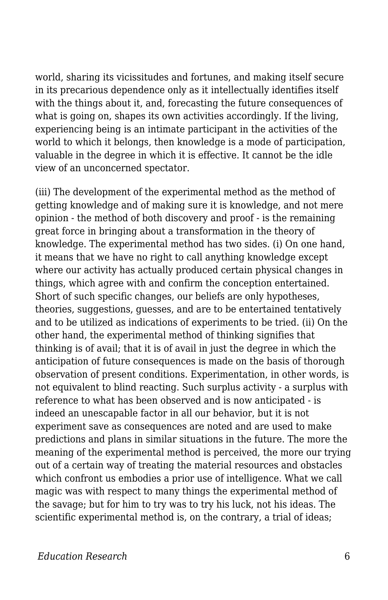world, sharing its vicissitudes and fortunes, and making itself secure in its precarious dependence only as it intellectually identifies itself with the things about it, and, forecasting the future consequences of what is going on, shapes its own activities accordingly. If the living, experiencing being is an intimate participant in the activities of the world to which it belongs, then knowledge is a mode of participation, valuable in the degree in which it is effective. It cannot be the idle view of an unconcerned spectator.

(iii) The development of the experimental method as the method of getting knowledge and of making sure it is knowledge, and not mere opinion - the method of both discovery and proof - is the remaining great force in bringing about a transformation in the theory of knowledge. The experimental method has two sides. (i) On one hand, it means that we have no right to call anything knowledge except where our activity has actually produced certain physical changes in things, which agree with and confirm the conception entertained. Short of such specific changes, our beliefs are only hypotheses, theories, suggestions, guesses, and are to be entertained tentatively and to be utilized as indications of experiments to be tried. (ii) On the other hand, the experimental method of thinking signifies that thinking is of avail; that it is of avail in just the degree in which the anticipation of future consequences is made on the basis of thorough observation of present conditions. Experimentation, in other words, is not equivalent to blind reacting. Such surplus activity - a surplus with reference to what has been observed and is now anticipated - is indeed an unescapable factor in all our behavior, but it is not experiment save as consequences are noted and are used to make predictions and plans in similar situations in the future. The more the meaning of the experimental method is perceived, the more our trying out of a certain way of treating the material resources and obstacles which confront us embodies a prior use of intelligence. What we call magic was with respect to many things the experimental method of the savage; but for him to try was to try his luck, not his ideas. The scientific experimental method is, on the contrary, a trial of ideas;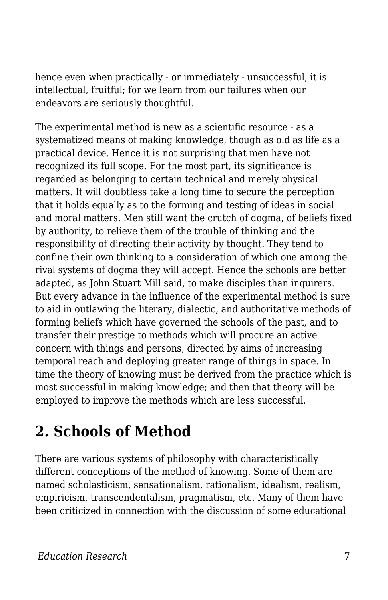hence even when practically - or immediately - unsuccessful, it is intellectual, fruitful; for we learn from our failures when our endeavors are seriously thoughtful.

The experimental method is new as a scientific resource - as a systematized means of making knowledge, though as old as life as a practical device. Hence it is not surprising that men have not recognized its full scope. For the most part, its significance is regarded as belonging to certain technical and merely physical matters. It will doubtless take a long time to secure the perception that it holds equally as to the forming and testing of ideas in social and moral matters. Men still want the crutch of dogma, of beliefs fixed by authority, to relieve them of the trouble of thinking and the responsibility of directing their activity by thought. They tend to confine their own thinking to a consideration of which one among the rival systems of dogma they will accept. Hence the schools are better adapted, as John Stuart Mill said, to make disciples than inquirers. But every advance in the influence of the experimental method is sure to aid in outlawing the literary, dialectic, and authoritative methods of forming beliefs which have governed the schools of the past, and to transfer their prestige to methods which will procure an active concern with things and persons, directed by aims of increasing temporal reach and deploying greater range of things in space. In time the theory of knowing must be derived from the practice which is most successful in making knowledge; and then that theory will be employed to improve the methods which are less successful.

## **2. Schools of Method**

There are various systems of philosophy with characteristically different conceptions of the method of knowing. Some of them are named scholasticism, sensationalism, rationalism, idealism, realism, empiricism, transcendentalism, pragmatism, etc. Many of them have been criticized in connection with the discussion of some educational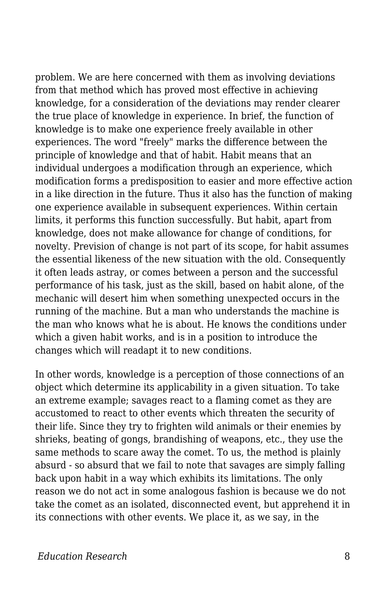problem. We are here concerned with them as involving deviations from that method which has proved most effective in achieving knowledge, for a consideration of the deviations may render clearer the true place of knowledge in experience. In brief, the function of knowledge is to make one experience freely available in other experiences. The word "freely" marks the difference between the principle of knowledge and that of habit. Habit means that an individual undergoes a modification through an experience, which modification forms a predisposition to easier and more effective action in a like direction in the future. Thus it also has the function of making one experience available in subsequent experiences. Within certain limits, it performs this function successfully. But habit, apart from knowledge, does not make allowance for change of conditions, for novelty. Prevision of change is not part of its scope, for habit assumes the essential likeness of the new situation with the old. Consequently it often leads astray, or comes between a person and the successful performance of his task, just as the skill, based on habit alone, of the mechanic will desert him when something unexpected occurs in the running of the machine. But a man who understands the machine is the man who knows what he is about. He knows the conditions under which a given habit works, and is in a position to introduce the changes which will readapt it to new conditions.

In other words, knowledge is a perception of those connections of an object which determine its applicability in a given situation. To take an extreme example; savages react to a flaming comet as they are accustomed to react to other events which threaten the security of their life. Since they try to frighten wild animals or their enemies by shrieks, beating of gongs, brandishing of weapons, etc., they use the same methods to scare away the comet. To us, the method is plainly absurd - so absurd that we fail to note that savages are simply falling back upon habit in a way which exhibits its limitations. The only reason we do not act in some analogous fashion is because we do not take the comet as an isolated, disconnected event, but apprehend it in its connections with other events. We place it, as we say, in the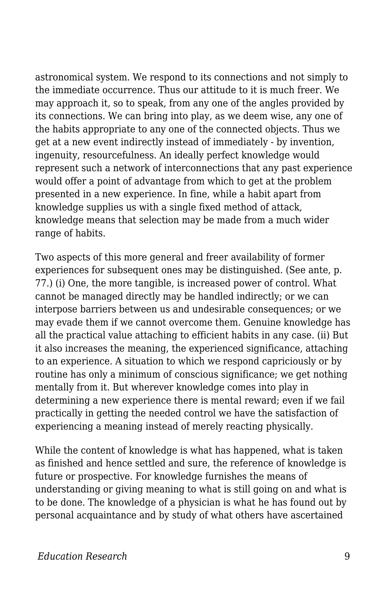astronomical system. We respond to its connections and not simply to the immediate occurrence. Thus our attitude to it is much freer. We may approach it, so to speak, from any one of the angles provided by its connections. We can bring into play, as we deem wise, any one of the habits appropriate to any one of the connected objects. Thus we get at a new event indirectly instead of immediately - by invention, ingenuity, resourcefulness. An ideally perfect knowledge would represent such a network of interconnections that any past experience would offer a point of advantage from which to get at the problem presented in a new experience. In fine, while a habit apart from knowledge supplies us with a single fixed method of attack, knowledge means that selection may be made from a much wider range of habits.

Two aspects of this more general and freer availability of former experiences for subsequent ones may be distinguished. (See ante, p. 77.) (i) One, the more tangible, is increased power of control. What cannot be managed directly may be handled indirectly; or we can interpose barriers between us and undesirable consequences; or we may evade them if we cannot overcome them. Genuine knowledge has all the practical value attaching to efficient habits in any case. (ii) But it also increases the meaning, the experienced significance, attaching to an experience. A situation to which we respond capriciously or by routine has only a minimum of conscious significance; we get nothing mentally from it. But wherever knowledge comes into play in determining a new experience there is mental reward; even if we fail practically in getting the needed control we have the satisfaction of experiencing a meaning instead of merely reacting physically.

While the content of knowledge is what has happened, what is taken as finished and hence settled and sure, the reference of knowledge is future or prospective. For knowledge furnishes the means of understanding or giving meaning to what is still going on and what is to be done. The knowledge of a physician is what he has found out by personal acquaintance and by study of what others have ascertained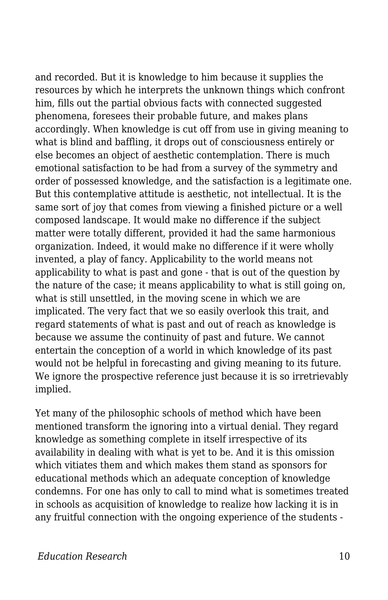and recorded. But it is knowledge to him because it supplies the resources by which he interprets the unknown things which confront him, fills out the partial obvious facts with connected suggested phenomena, foresees their probable future, and makes plans accordingly. When knowledge is cut off from use in giving meaning to what is blind and baffling, it drops out of consciousness entirely or else becomes an object of aesthetic contemplation. There is much emotional satisfaction to be had from a survey of the symmetry and order of possessed knowledge, and the satisfaction is a legitimate one. But this contemplative attitude is aesthetic, not intellectual. It is the same sort of joy that comes from viewing a finished picture or a well composed landscape. It would make no difference if the subject matter were totally different, provided it had the same harmonious organization. Indeed, it would make no difference if it were wholly invented, a play of fancy. Applicability to the world means not applicability to what is past and gone - that is out of the question by the nature of the case; it means applicability to what is still going on, what is still unsettled, in the moving scene in which we are implicated. The very fact that we so easily overlook this trait, and regard statements of what is past and out of reach as knowledge is because we assume the continuity of past and future. We cannot entertain the conception of a world in which knowledge of its past would not be helpful in forecasting and giving meaning to its future. We ignore the prospective reference just because it is so irretrievably implied.

Yet many of the philosophic schools of method which have been mentioned transform the ignoring into a virtual denial. They regard knowledge as something complete in itself irrespective of its availability in dealing with what is yet to be. And it is this omission which vitiates them and which makes them stand as sponsors for educational methods which an adequate conception of knowledge condemns. For one has only to call to mind what is sometimes treated in schools as acquisition of knowledge to realize how lacking it is in any fruitful connection with the ongoing experience of the students -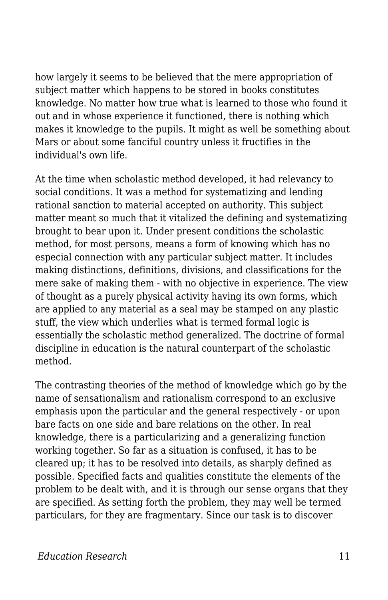how largely it seems to be believed that the mere appropriation of subject matter which happens to be stored in books constitutes knowledge. No matter how true what is learned to those who found it out and in whose experience it functioned, there is nothing which makes it knowledge to the pupils. It might as well be something about Mars or about some fanciful country unless it fructifies in the individual's own life.

At the time when scholastic method developed, it had relevancy to social conditions. It was a method for systematizing and lending rational sanction to material accepted on authority. This subject matter meant so much that it vitalized the defining and systematizing brought to bear upon it. Under present conditions the scholastic method, for most persons, means a form of knowing which has no especial connection with any particular subject matter. It includes making distinctions, definitions, divisions, and classifications for the mere sake of making them - with no objective in experience. The view of thought as a purely physical activity having its own forms, which are applied to any material as a seal may be stamped on any plastic stuff, the view which underlies what is termed formal logic is essentially the scholastic method generalized. The doctrine of formal discipline in education is the natural counterpart of the scholastic method.

The contrasting theories of the method of knowledge which go by the name of sensationalism and rationalism correspond to an exclusive emphasis upon the particular and the general respectively - or upon bare facts on one side and bare relations on the other. In real knowledge, there is a particularizing and a generalizing function working together. So far as a situation is confused, it has to be cleared up; it has to be resolved into details, as sharply defined as possible. Specified facts and qualities constitute the elements of the problem to be dealt with, and it is through our sense organs that they are specified. As setting forth the problem, they may well be termed particulars, for they are fragmentary. Since our task is to discover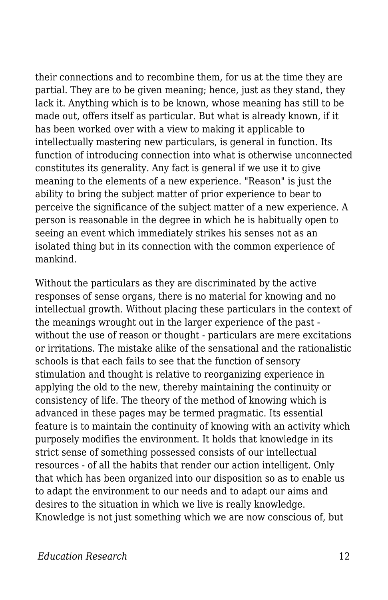their connections and to recombine them, for us at the time they are partial. They are to be given meaning; hence, just as they stand, they lack it. Anything which is to be known, whose meaning has still to be made out, offers itself as particular. But what is already known, if it has been worked over with a view to making it applicable to intellectually mastering new particulars, is general in function. Its function of introducing connection into what is otherwise unconnected constitutes its generality. Any fact is general if we use it to give meaning to the elements of a new experience. "Reason" is just the ability to bring the subject matter of prior experience to bear to perceive the significance of the subject matter of a new experience. A person is reasonable in the degree in which he is habitually open to seeing an event which immediately strikes his senses not as an isolated thing but in its connection with the common experience of mankind.

Without the particulars as they are discriminated by the active responses of sense organs, there is no material for knowing and no intellectual growth. Without placing these particulars in the context of the meanings wrought out in the larger experience of the past without the use of reason or thought - particulars are mere excitations or irritations. The mistake alike of the sensational and the rationalistic schools is that each fails to see that the function of sensory stimulation and thought is relative to reorganizing experience in applying the old to the new, thereby maintaining the continuity or consistency of life. The theory of the method of knowing which is advanced in these pages may be termed pragmatic. Its essential feature is to maintain the continuity of knowing with an activity which purposely modifies the environment. It holds that knowledge in its strict sense of something possessed consists of our intellectual resources - of all the habits that render our action intelligent. Only that which has been organized into our disposition so as to enable us to adapt the environment to our needs and to adapt our aims and desires to the situation in which we live is really knowledge. Knowledge is not just something which we are now conscious of, but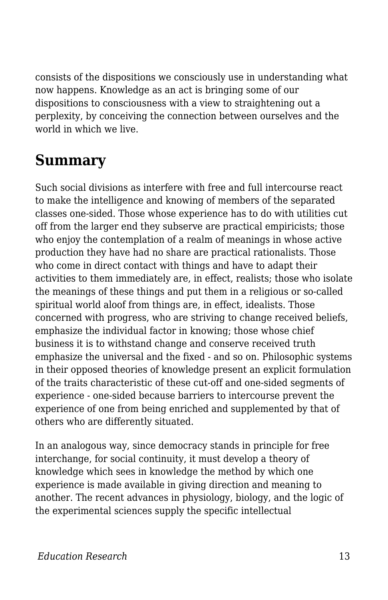consists of the dispositions we consciously use in understanding what now happens. Knowledge as an act is bringing some of our dispositions to consciousness with a view to straightening out a perplexity, by conceiving the connection between ourselves and the world in which we live.

## **Summary**

Such social divisions as interfere with free and full intercourse react to make the intelligence and knowing of members of the separated classes one-sided. Those whose experience has to do with utilities cut off from the larger end they subserve are practical empiricists; those who enjoy the contemplation of a realm of meanings in whose active production they have had no share are practical rationalists. Those who come in direct contact with things and have to adapt their activities to them immediately are, in effect, realists; those who isolate the meanings of these things and put them in a religious or so-called spiritual world aloof from things are, in effect, idealists. Those concerned with progress, who are striving to change received beliefs, emphasize the individual factor in knowing; those whose chief business it is to withstand change and conserve received truth emphasize the universal and the fixed - and so on. Philosophic systems in their opposed theories of knowledge present an explicit formulation of the traits characteristic of these cut-off and one-sided segments of experience - one-sided because barriers to intercourse prevent the experience of one from being enriched and supplemented by that of others who are differently situated.

In an analogous way, since democracy stands in principle for free interchange, for social continuity, it must develop a theory of knowledge which sees in knowledge the method by which one experience is made available in giving direction and meaning to another. The recent advances in physiology, biology, and the logic of the experimental sciences supply the specific intellectual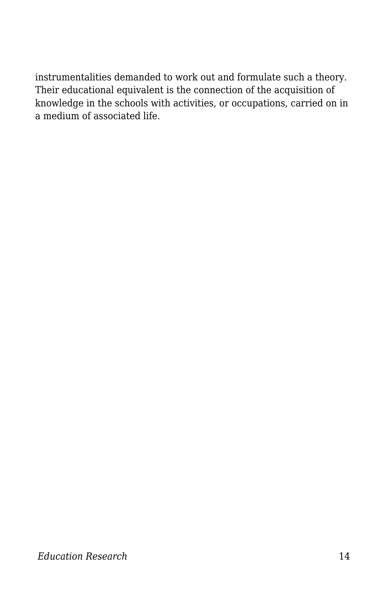instrumentalities demanded to work out and formulate such a theory. Their educational equivalent is the connection of the acquisition of knowledge in the schools with activities, or occupations, carried on in a medium of associated life.